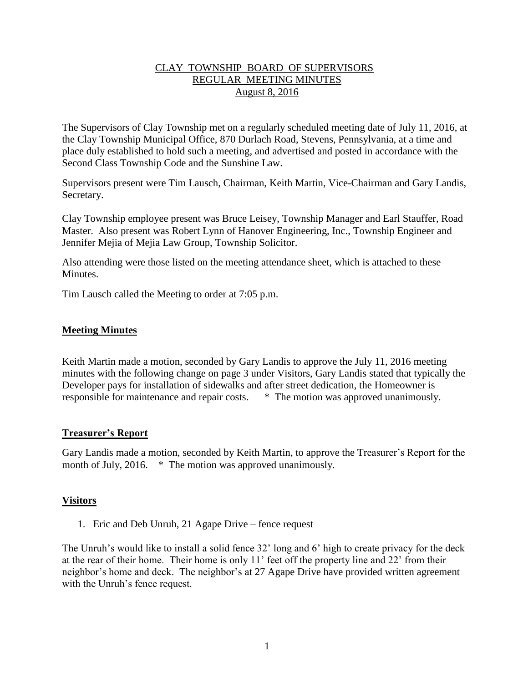## CLAY TOWNSHIP BOARD OF SUPERVISORS REGULAR MEETING MINUTES August 8, 2016

The Supervisors of Clay Township met on a regularly scheduled meeting date of July 11, 2016, at the Clay Township Municipal Office, 870 Durlach Road, Stevens, Pennsylvania, at a time and place duly established to hold such a meeting, and advertised and posted in accordance with the Second Class Township Code and the Sunshine Law.

Supervisors present were Tim Lausch, Chairman, Keith Martin, Vice-Chairman and Gary Landis, Secretary.

Clay Township employee present was Bruce Leisey, Township Manager and Earl Stauffer, Road Master. Also present was Robert Lynn of Hanover Engineering, Inc., Township Engineer and Jennifer Mejia of Mejia Law Group, Township Solicitor.

Also attending were those listed on the meeting attendance sheet, which is attached to these **Minutes** 

Tim Lausch called the Meeting to order at 7:05 p.m.

## **Meeting Minutes**

Keith Martin made a motion, seconded by Gary Landis to approve the July 11, 2016 meeting minutes with the following change on page 3 under Visitors, Gary Landis stated that typically the Developer pays for installation of sidewalks and after street dedication, the Homeowner is responsible for maintenance and repair costs. \* The motion was approved unanimously.

#### **Treasurer's Report**

Gary Landis made a motion, seconded by Keith Martin, to approve the Treasurer's Report for the month of July, 2016. \* The motion was approved unanimously.

# **Visitors**

1. Eric and Deb Unruh, 21 Agape Drive – fence request

The Unruh's would like to install a solid fence 32' long and 6' high to create privacy for the deck at the rear of their home. Their home is only 11' feet off the property line and 22' from their neighbor's home and deck. The neighbor's at 27 Agape Drive have provided written agreement with the Unruh's fence request.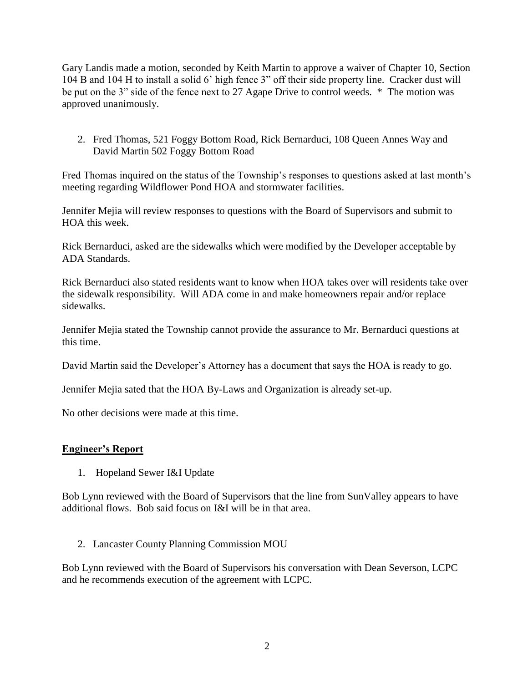Gary Landis made a motion, seconded by Keith Martin to approve a waiver of Chapter 10, Section 104 B and 104 H to install a solid 6' high fence 3" off their side property line. Cracker dust will be put on the 3" side of the fence next to 27 Agape Drive to control weeds. \* The motion was approved unanimously.

2. Fred Thomas, 521 Foggy Bottom Road, Rick Bernarduci, 108 Queen Annes Way and David Martin 502 Foggy Bottom Road

Fred Thomas inquired on the status of the Township's responses to questions asked at last month's meeting regarding Wildflower Pond HOA and stormwater facilities.

Jennifer Mejia will review responses to questions with the Board of Supervisors and submit to HOA this week.

Rick Bernarduci, asked are the sidewalks which were modified by the Developer acceptable by ADA Standards.

Rick Bernarduci also stated residents want to know when HOA takes over will residents take over the sidewalk responsibility. Will ADA come in and make homeowners repair and/or replace sidewalks.

Jennifer Mejia stated the Township cannot provide the assurance to Mr. Bernarduci questions at this time.

David Martin said the Developer's Attorney has a document that says the HOA is ready to go.

Jennifer Mejia sated that the HOA By-Laws and Organization is already set-up.

No other decisions were made at this time.

#### **Engineer's Report**

1. Hopeland Sewer I&I Update

Bob Lynn reviewed with the Board of Supervisors that the line from SunValley appears to have additional flows. Bob said focus on I&I will be in that area.

2. Lancaster County Planning Commission MOU

Bob Lynn reviewed with the Board of Supervisors his conversation with Dean Severson, LCPC and he recommends execution of the agreement with LCPC.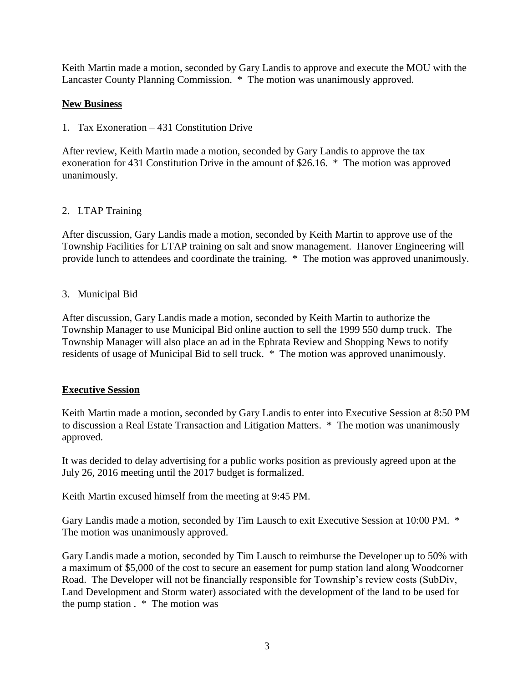Keith Martin made a motion, seconded by Gary Landis to approve and execute the MOU with the Lancaster County Planning Commission. \* The motion was unanimously approved.

# **New Business**

1. Tax Exoneration – 431 Constitution Drive

After review, Keith Martin made a motion, seconded by Gary Landis to approve the tax exoneration for 431 Constitution Drive in the amount of \$26.16. \* The motion was approved unanimously.

# 2. LTAP Training

After discussion, Gary Landis made a motion, seconded by Keith Martin to approve use of the Township Facilities for LTAP training on salt and snow management. Hanover Engineering will provide lunch to attendees and coordinate the training. \* The motion was approved unanimously.

# 3. Municipal Bid

After discussion, Gary Landis made a motion, seconded by Keith Martin to authorize the Township Manager to use Municipal Bid online auction to sell the 1999 550 dump truck. The Township Manager will also place an ad in the Ephrata Review and Shopping News to notify residents of usage of Municipal Bid to sell truck. \* The motion was approved unanimously.

# **Executive Session**

Keith Martin made a motion, seconded by Gary Landis to enter into Executive Session at 8:50 PM to discussion a Real Estate Transaction and Litigation Matters. \* The motion was unanimously approved.

It was decided to delay advertising for a public works position as previously agreed upon at the July 26, 2016 meeting until the 2017 budget is formalized.

Keith Martin excused himself from the meeting at 9:45 PM.

Gary Landis made a motion, seconded by Tim Lausch to exit Executive Session at 10:00 PM. \* The motion was unanimously approved.

Gary Landis made a motion, seconded by Tim Lausch to reimburse the Developer up to 50% with a maximum of \$5,000 of the cost to secure an easement for pump station land along Woodcorner Road. The Developer will not be financially responsible for Township's review costs (SubDiv, Land Development and Storm water) associated with the development of the land to be used for the pump station . \* The motion was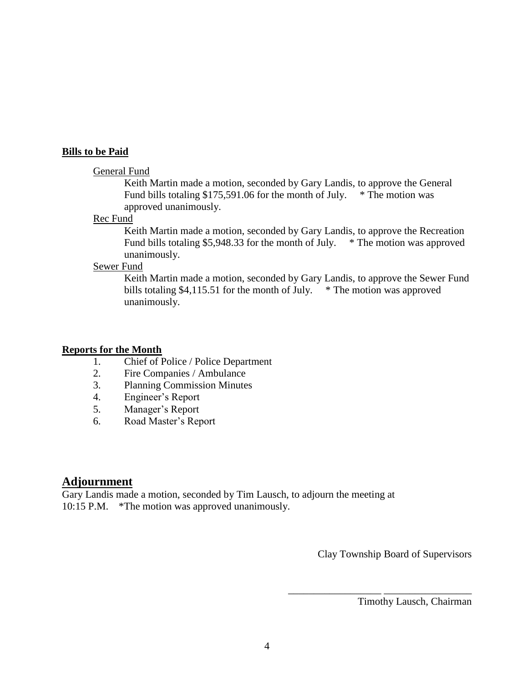#### **Bills to be Paid**

#### General Fund

Keith Martin made a motion, seconded by Gary Landis, to approve the General Fund bills totaling \$175,591.06 for the month of July. \* The motion was approved unanimously.

#### Rec Fund

Keith Martin made a motion, seconded by Gary Landis, to approve the Recreation Fund bills totaling \$5,948.33 for the month of July. \* The motion was approved unanimously.

### Sewer Fund

Keith Martin made a motion, seconded by Gary Landis, to approve the Sewer Fund bills totaling \$4,115.51 for the month of July.  $*$  The motion was approved unanimously.

#### **Reports for the Month**

- 1. Chief of Police / Police Department
- 2. Fire Companies / Ambulance
- 3. Planning Commission Minutes
- 4. Engineer's Report
- 5. Manager's Report
- 6. Road Master's Report

# **Adjournment**

Gary Landis made a motion, seconded by Tim Lausch, to adjourn the meeting at 10:15 P.M. \*The motion was approved unanimously.

Clay Township Board of Supervisors

\_\_\_\_\_\_\_\_\_\_\_\_\_\_\_\_\_\_ \_\_\_\_\_\_\_\_\_\_\_\_\_\_\_\_\_

Timothy Lausch, Chairman